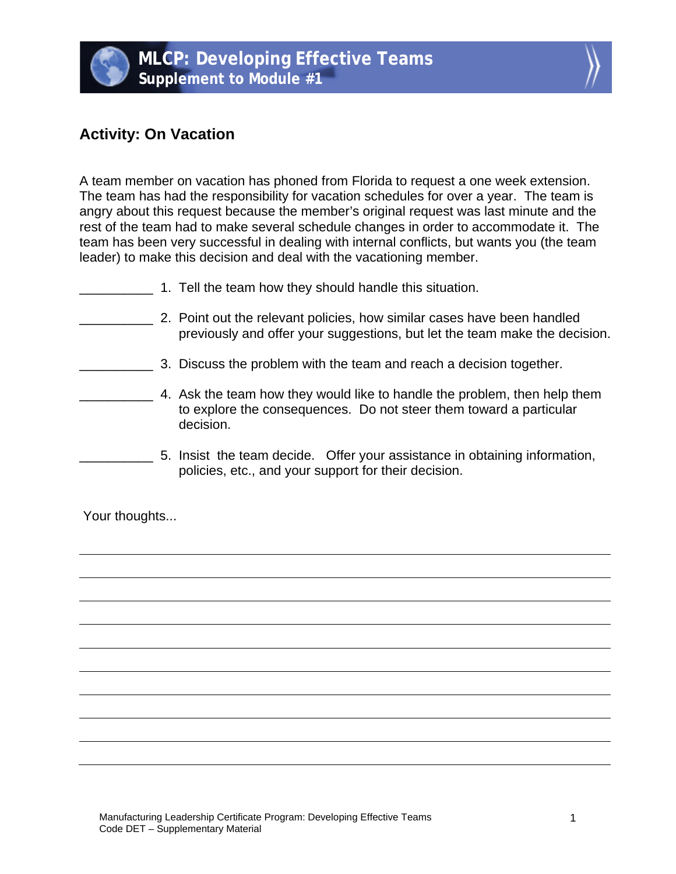

## **Activity: On Vacation**

A team member on vacation has phoned from Florida to request a one week extension. The team has had the responsibility for vacation schedules for over a year. The team is angry about this request because the member's original request was last minute and the rest of the team had to make several schedule changes in order to accommodate it. The team has been very successful in dealing with internal conflicts, but wants you (the team leader) to make this decision and deal with the vacationing member.

- 1. Tell the team how they should handle this situation.
- \_\_\_\_\_\_\_\_\_\_ 2. Point out the relevant policies, how similar cases have been handled previously and offer your suggestions, but let the team make the decision.
	- **EXECUTE:** 3. Discuss the problem with the team and reach a decision together.
	- \_\_\_\_\_\_\_\_\_\_ 4. Ask the team how they would like to handle the problem, then help them to explore the consequences. Do not steer them toward a particular decision.
	- \_\_\_\_\_\_\_\_\_\_ 5. Insist the team decide. Offer your assistance in obtaining information, policies, etc., and your support for their decision.

Your thoughts...